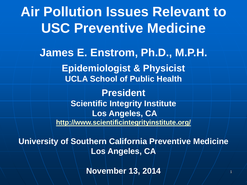**Air Pollution Issues Relevant to USC Preventive Medicine James E. Enstrom, Ph.D., M.P.H. Epidemiologist & Physicist UCLA School of Public Health President Scientific Integrity Institute Los Angeles, CA <http://www.scientificintegrityinstitute.org/>**

**University of Southern California Preventive Medicine Los Angeles, CA**

**November 13, 2014**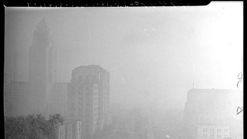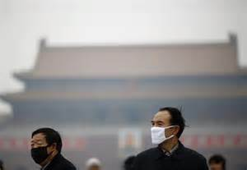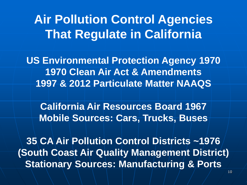**Air Pollution Control Agencies That Regulate in California**

**US Environmental Protection Agency 1970 1970 Clean Air Act & Amendments 1997 & 2012 Particulate Matter NAAQS**

**California Air Resources Board 1967 Mobile Sources: Cars, Trucks, Buses**

**35 CA Air Pollution Control Districts ~1976 (South Coast Air Quality Management District) Stationary Sources: Manufacturing & Ports**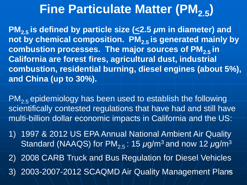# **Fine Particulate Matter (PM2.5)**

**PM2.5 is defined by particle size (<2.5** *μ***m in diameter) and not by chemical composition. PM2.5 is generated mainly by combustion processes. The major sources of PM2.5 in California are forest fires, agricultural dust, industrial combustion, residential burning, diesel engines (about 5%), and China (up to 30%).** 

 $PM<sub>2.5</sub>$  epidemiology has been used to establish the following scientifically contested regulations that have had and still have multi-billion dollar economic impacts in California and the US:

1) 1997 & 2012 US EPA Annual National Ambient Air Quality Standard (NAAQS) for PM<sub>2.5</sub>: 15 *μ*g/m<sup>3</sup> and now 12 *μ*g/m<sup>3</sup>

2) 2008 CARB Truck and Bus Regulation for Diesel Vehicles

3) 2003-2007-2012 SCAQMD Air Quality Management Plans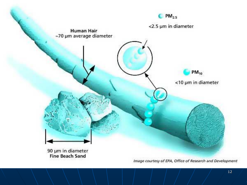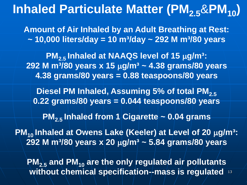## **Inhaled Particulate Matter (PM2.5**&**PM10)**

**Amount of Air Inhaled by an Adult Breathing at Rest: ~ 10,000 liters/day = 10 m³/day ~ 292 M m³/80 years**

**PM<sub>2.5</sub> Inhaled at NAAQS level of 15**  $\mu$ **g/m<sup>3</sup>: 292 M m³/80 years x 15 g/m³ ~ 4.38 grams/80 years 4.38 grams/80 years = 0.88 teaspoons/80 years**

**Diesel PM Inhaled, Assuming 5% of total PM2.5 0.22 grams/80 years = 0.044 teaspoons/80 years**

**PM2.5 Inhaled from 1 Cigarette ~ 0.04 grams**

**PM**<sub>10</sub> Inhaled at Owens Lake (Keeler) at Level of 20 µg/m<sup>3</sup>: **292 M m³/80 years x 20 g/m³ ~ 5.84 grams/80 years**

13 **without chemical specification--mass is regulatedPM2.5 and PM<sup>10</sup> are the only regulated air pollutants**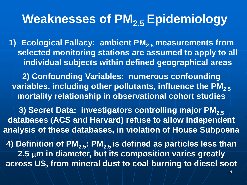## **Weaknesses of PM2.5 Epidemiology**

**1) Ecological Fallacy: ambient PM2.5 measurements from selected monitoring stations are assumed to apply to all individual subjects within defined geographical areas**

**2) Confounding Variables: numerous confounding variables, including other pollutants, influence the PM2.5 mortality relationship in observational cohort studies**

**3) Secret Data: investigators controlling major PM2.5 databases (ACS and Harvard) refuse to allow independent analysis of these databases, in violation of House Subpoena**

**4) Definition of PM2.5: PM2.5 is defined as particles less than 2.5 m in diameter, but its composition varies greatly across US, from mineral dust to coal burning to diesel soot**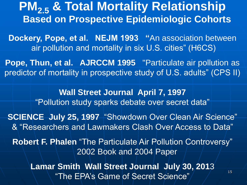### **PM2.5 & Total Mortality Relationship Based on Prospective Epidemiologic Cohorts**

**Dockery, Pope, et al. NEJM 1993 "**An association between air pollution and mortality in six U.S. cities" (H6CS)

**Pope, Thun, et al. AJRCCM 1995** "Particulate air pollution as predictor of mortality in prospective study of U.S. adults" (CPS II)

> **Wall Street Journal April 7, 1997**  "Pollution study sparks debate over secret data"

**SCIENCE July 25, 1997** "Showdown Over Clean Air Science" & "Researchers and Lawmakers Clash Over Access to Data"

**Robert F. Phalen** "The Particulate Air Pollution Controversy" 2002 Book and 2004 Paper

**Lamar Smith Wall Street Journal July 30, 201**3 "The EPA's Game of Secret Science"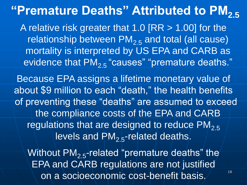16 **"Premature Deaths" Attributed to PM2.5** A relative risk greater that 1.0 [RR > 1.00] for the relationship between  $PM<sub>2.5</sub>$  and total (all cause) mortality is interpreted by US EPA and CARB as evidence that PM<sub>2.5</sub> "causes" "premature deaths." Because EPA assigns a lifetime monetary value of about \$9 million to each "death," the health benefits of preventing these "deaths" are assumed to exceed the compliance costs of the EPA and CARB regulations that are designed to reduce  $PM_{2.5}$ levels and  $PM<sub>2.5</sub>$ -related deaths. Without  $PM_{2.5}$ -related "premature deaths" the EPA and CARB regulations are not justified on a socioeconomic cost-benefit basis.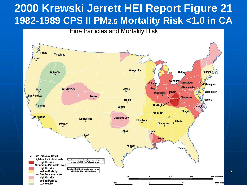### **2000 Krewski Jerrett HEI Report Figure 21 1982-1989 CPS II PM2.5 Mortality Risk <1.0 in CA**



17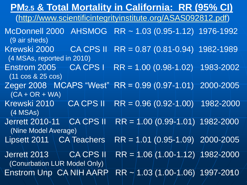|                                                          |                  | <b>PM2.5 &amp; Total Mortality in California: RR (95% CI)</b> |                                       |
|----------------------------------------------------------|------------------|---------------------------------------------------------------|---------------------------------------|
|                                                          |                  | (http://www.scientificintegrityinstitute.org/ASAS092812.pdf)  |                                       |
| <b>McDonnell 2000</b><br>(9 air sheds)                   |                  | AHSMOG RR ~ 1.03 (0.95-1.12) 1976-1992                        |                                       |
| Krewski 2000 CA CPS II<br>(4 MSAs, reported in 2010)     |                  | $RR = 0.87(0.81 - 0.94)$ 1982-1989                            |                                       |
| Enstrom 2005<br>(11 cos & 25 cos)                        | <b>CACPS I</b>   |                                                               | $RR = 1.00 (0.98 - 1.02)$ 1983-2002   |
| $(CA + OR + WA)$                                         |                  | Zeger 2008 MCAPS "West" RR = 0.99 (0.97-1.01) 2000-2005       |                                       |
| Krewski 2010<br>$(4$ MSAs)                               | <b>CA CPS II</b> |                                                               | $RR = 0.96(0.92 - 1.00)$ 1982-2000    |
| Jerrett 2010-11 CA CPS II<br>(Nine Model Average)        |                  |                                                               | $RR = 1.00 (0.99 - 1.01) 1982 - 2000$ |
| Lipsett 2011   CA Teachers                               |                  |                                                               | $RR = 1.01 (0.95 - 1.09) 2000 - 2005$ |
| Jerrett 2013   CA CPS II<br>(Conurbation LUR Model Only) |                  |                                                               | $RR = 1.06(1.00 - 1.12)$ 1982-2000    |
| Enstrom Unp CA NIH AARP                                  |                  |                                                               | $RR$ ~ 1.03 (1.00-1.06) 1997-2010     |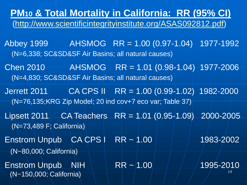**PM10 & Total Mortality in California: RR (95% CI)**  ([http://www.scientificintegrityinstitute.org/ASAS092812.pdf\)](http://www.scientificintegrityinstitute.org/ASAS092812.pdf)

Abbey 1999 AHSMOG RR = 1.00 (0.97-1.04) 1977-1992 (N=6,338; SC&SD&SF Air Basins; all natural causes)

Chen  $2010 - AHSMOG - RR = 1.01 (0.98-1.04)$  1977-2006 (N=4,830; SC&SD&SF Air Basins; all natural causes)

Jerrett 2011 CA CPS II RR = 1.00 (0.99-1.02) 1982-2000 (N=76,135;KRG Zip Model; 20 ind cov+7 eco var; Table 37)

Lipsett 2011 CA Teachers RR = 1.01 (0.95-1.09) 2000-2005 (N=73,489 F; California)

Enstrom Unpub CA CPS | RR ~ 1.00 | | | 1983-2002 (N~80,000; California)

19 Enstrom Unpub NIH RR ~ 1.00 100 100 1995-2010 (N~150,000; California)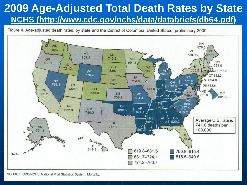### **2009 Age-Adjusted Total Death Rates by State [NCHS \(http://www.cdc.gov/nchs/data/databriefs/db64.pdf\)](http://www.cdc.gov/nchs/data/databriefs/db64.pdf)**

Figure 4. Age-adjusted death rates, by state and the District of Columbia: United States, preliminary 2009



SOURCE: CDC/NCHS, National Vital Statistics System, Mortality.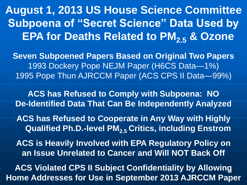**August 1, 2013 US House Science Committee Subpoena of "Secret Science" Data Used by EPA for Deaths Related to PM2.5 & Ozone**

**Seven Subpoened Papers Based on Original Two Papers** 1993 Dockery Pope NEJM Paper (H6CS Data—1%) 1995 Pope Thun AJRCCM Paper (ACS CPS II Data—99%)

**ACS Violated CPS II Subject Confidentiality by Allowing ACS has Refused to Comply with Subpoena: NO De-Identified Data That Can Be Independently Analyzed ACS has Refused to Cooperate in Any Way with Highly Qualified Ph.D.-level PM2.5 Critics, including Enstrom ACS is Heavily Involved with EPA Regulatory Policy on an Issue Unrelated to Cancer and Will NOT Back Off Home Addresses for Use in September 2013 AJRCCM Paper**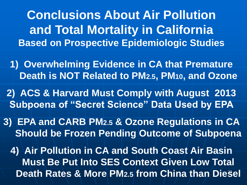**Conclusions About Air Pollution and Total Mortality in California Based on Prospective Epidemiologic Studies**

- **1) Overwhelming Evidence in CA that Premature Death is NOT Related to PM2.5, PM10, and Ozone**
- **2) ACS & Harvard Must Comply with August 2013 Subpoena of "Secret Science" Data Used by EPA**
- **3) EPA and CARB PM2.5 & Ozone Regulations in CA Should be Frozen Pending Outcome of Subpoena**
	- Death Rates & More PM<sub>2.5</sub> from China than Diesel **4) Air Pollution in CA and South Coast Air Basin Must Be Put Into SES Context Given Low Total**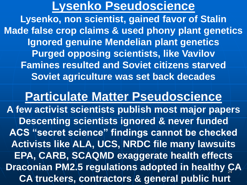**Lysenko Pseudoscience Lysenko, non scientist, gained favor of Stalin Made false crop claims & used phony plant genetics Ignored genuine Mendelian plant genetics Purged opposing scientists, like Vavilov Famines resulted and Soviet citizens starved Soviet agriculture was set back decades**

Draconian PM2.5 regulations adopted in healthy CA **Particulate Matter Pseudoscience A few activist scientists publish most major papers Descenting scientists ignored & never funded ACS "secret science" findings cannot be checked Activists like ALA, UCS, NRDC file many lawsuits EPA, CARB, SCAQMD exaggerate health effects CA truckers, contractors & general public hurt**